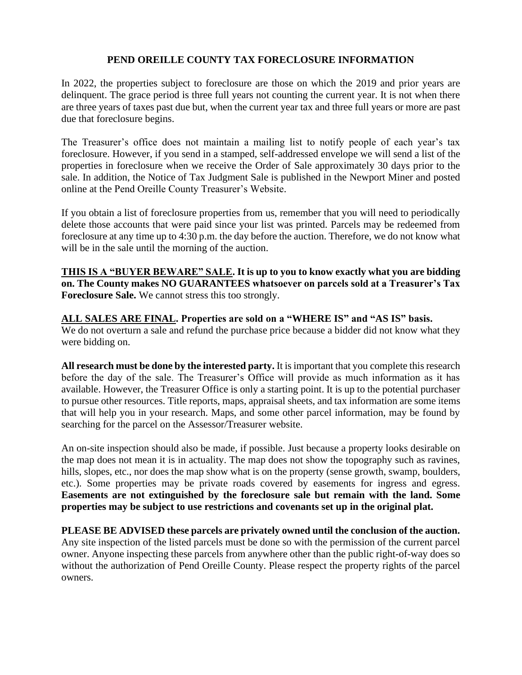## **PEND OREILLE COUNTY TAX FORECLOSURE INFORMATION**

In 2022, the properties subject to foreclosure are those on which the 2019 and prior years are delinquent. The grace period is three full years not counting the current year. It is not when there are three years of taxes past due but, when the current year tax and three full years or more are past due that foreclosure begins.

The Treasurer's office does not maintain a mailing list to notify people of each year's tax foreclosure. However, if you send in a stamped, self-addressed envelope we will send a list of the properties in foreclosure when we receive the Order of Sale approximately 30 days prior to the sale. In addition, the Notice of Tax Judgment Sale is published in the Newport Miner and posted online at the Pend Oreille County Treasurer's Website.

If you obtain a list of foreclosure properties from us, remember that you will need to periodically delete those accounts that were paid since your list was printed. Parcels may be redeemed from foreclosure at any time up to 4:30 p.m. the day before the auction. Therefore, we do not know what will be in the sale until the morning of the auction.

**THIS IS A "BUYER BEWARE" SALE. It is up to you to know exactly what you are bidding on. The County makes NO GUARANTEES whatsoever on parcels sold at a Treasurer's Tax Foreclosure Sale.** We cannot stress this too strongly.

## **ALL SALES ARE FINAL. Properties are sold on a "WHERE IS" and "AS IS" basis.**

We do not overturn a sale and refund the purchase price because a bidder did not know what they were bidding on.

**All research must be done by the interested party.** It is important that you complete this research before the day of the sale. The Treasurer's Office will provide as much information as it has available. However, the Treasurer Office is only a starting point. It is up to the potential purchaser to pursue other resources. Title reports, maps, appraisal sheets, and tax information are some items that will help you in your research. Maps, and some other parcel information, may be found by searching for the parcel on the Assessor/Treasurer website.

An on-site inspection should also be made, if possible. Just because a property looks desirable on the map does not mean it is in actuality. The map does not show the topography such as ravines, hills, slopes, etc., nor does the map show what is on the property (sense growth, swamp, boulders, etc.). Some properties may be private roads covered by easements for ingress and egress. **Easements are not extinguished by the foreclosure sale but remain with the land. Some properties may be subject to use restrictions and covenants set up in the original plat.** 

**PLEASE BE ADVISED these parcels are privately owned until the conclusion of the auction.**  Any site inspection of the listed parcels must be done so with the permission of the current parcel owner. Anyone inspecting these parcels from anywhere other than the public right-of-way does so without the authorization of Pend Oreille County. Please respect the property rights of the parcel owners.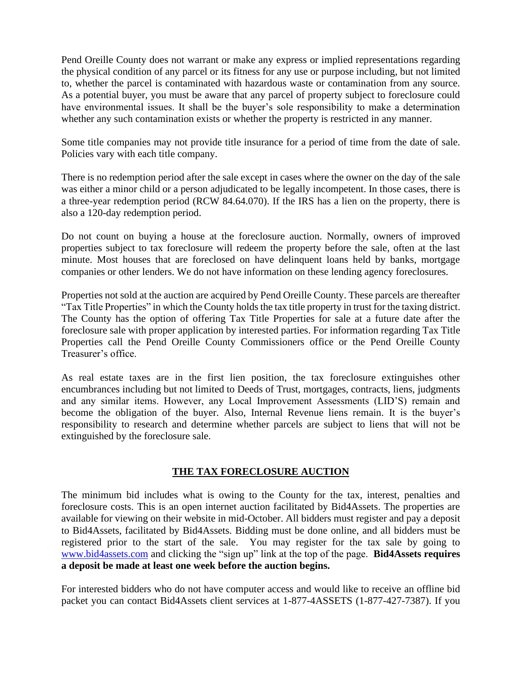Pend Oreille County does not warrant or make any express or implied representations regarding the physical condition of any parcel or its fitness for any use or purpose including, but not limited to, whether the parcel is contaminated with hazardous waste or contamination from any source. As a potential buyer, you must be aware that any parcel of property subject to foreclosure could have environmental issues. It shall be the buyer's sole responsibility to make a determination whether any such contamination exists or whether the property is restricted in any manner.

Some title companies may not provide title insurance for a period of time from the date of sale. Policies vary with each title company.

There is no redemption period after the sale except in cases where the owner on the day of the sale was either a minor child or a person adjudicated to be legally incompetent. In those cases, there is a three-year redemption period (RCW 84.64.070). If the IRS has a lien on the property, there is also a 120-day redemption period.

Do not count on buying a house at the foreclosure auction. Normally, owners of improved properties subject to tax foreclosure will redeem the property before the sale, often at the last minute. Most houses that are foreclosed on have delinquent loans held by banks, mortgage companies or other lenders. We do not have information on these lending agency foreclosures.

Properties not sold at the auction are acquired by Pend Oreille County. These parcels are thereafter "Tax Title Properties" in which the County holds the tax title property in trust for the taxing district. The County has the option of offering Tax Title Properties for sale at a future date after the foreclosure sale with proper application by interested parties. For information regarding Tax Title Properties call the Pend Oreille County Commissioners office or the Pend Oreille County Treasurer's office.

As real estate taxes are in the first lien position, the tax foreclosure extinguishes other encumbrances including but not limited to Deeds of Trust, mortgages, contracts, liens, judgments and any similar items. However, any Local Improvement Assessments (LID'S) remain and become the obligation of the buyer. Also, Internal Revenue liens remain. It is the buyer's responsibility to research and determine whether parcels are subject to liens that will not be extinguished by the foreclosure sale.

## **THE TAX FORECLOSURE AUCTION**

The minimum bid includes what is owing to the County for the tax, interest, penalties and foreclosure costs. This is an open internet auction facilitated by Bid4Assets. The properties are available for viewing on their website in mid-October. All bidders must register and pay a deposit to Bid4Assets, facilitated by Bid4Assets. Bidding must be done online, and all bidders must be registered prior to the start of the sale. You may register for the tax sale by going to [www.bid4assets.com](http://www.bid4assets.com/) and clicking the "sign up" link at the top of the page. **Bid4Assets requires a deposit be made at least one week before the auction begins.**

For interested bidders who do not have computer access and would like to receive an offline bid packet you can contact Bid4Assets client services at 1-877-4ASSETS (1-877-427-7387). If you